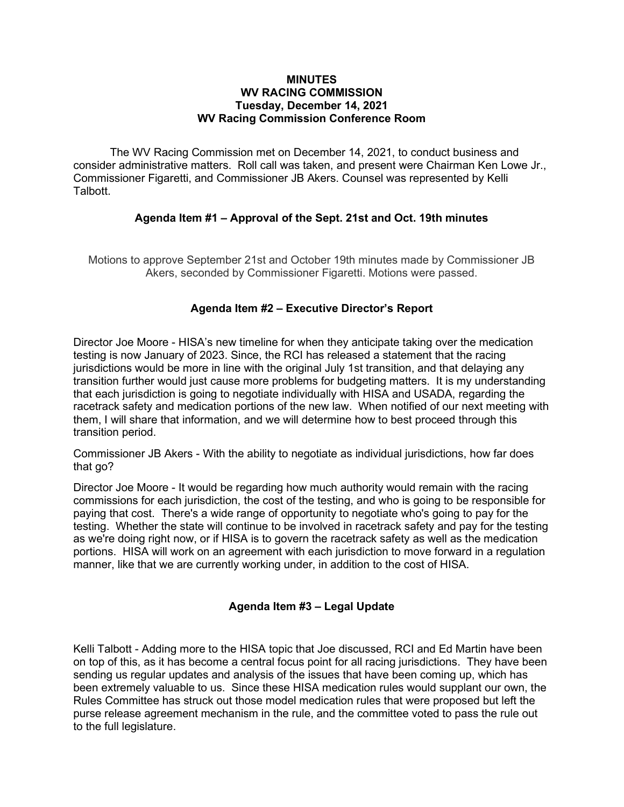#### **MINUTES** WV RACING COMMISSION Tuesday, December 14, 2021 WV Racing Commission Conference Room

The WV Racing Commission met on December 14, 2021, to conduct business and consider administrative matters. Roll call was taken, and present were Chairman Ken Lowe Jr., Commissioner Figaretti, and Commissioner JB Akers. Counsel was represented by Kelli **Talbott** 

## Agenda Item #1 – Approval of the Sept. 21st and Oct. 19th minutes

Motions to approve September 21st and October 19th minutes made by Commissioner JB Akers, seconded by Commissioner Figaretti. Motions were passed.

#### Agenda Item #2 – Executive Director's Report

Director Joe Moore - HISA's new timeline for when they anticipate taking over the medication testing is now January of 2023. Since, the RCI has released a statement that the racing jurisdictions would be more in line with the original July 1st transition, and that delaying any transition further would just cause more problems for budgeting matters. It is my understanding that each jurisdiction is going to negotiate individually with HISA and USADA, regarding the racetrack safety and medication portions of the new law. When notified of our next meeting with them, I will share that information, and we will determine how to best proceed through this transition period.

Commissioner JB Akers - With the ability to negotiate as individual jurisdictions, how far does that go?

Director Joe Moore - It would be regarding how much authority would remain with the racing commissions for each jurisdiction, the cost of the testing, and who is going to be responsible for paying that cost. There's a wide range of opportunity to negotiate who's going to pay for the testing. Whether the state will continue to be involved in racetrack safety and pay for the testing as we're doing right now, or if HISA is to govern the racetrack safety as well as the medication portions. HISA will work on an agreement with each jurisdiction to move forward in a regulation manner, like that we are currently working under, in addition to the cost of HISA.

#### Agenda Item #3 – Legal Update

Kelli Talbott - Adding more to the HISA topic that Joe discussed, RCI and Ed Martin have been on top of this, as it has become a central focus point for all racing jurisdictions. They have been sending us regular updates and analysis of the issues that have been coming up, which has been extremely valuable to us. Since these HISA medication rules would supplant our own, the Rules Committee has struck out those model medication rules that were proposed but left the purse release agreement mechanism in the rule, and the committee voted to pass the rule out to the full legislature.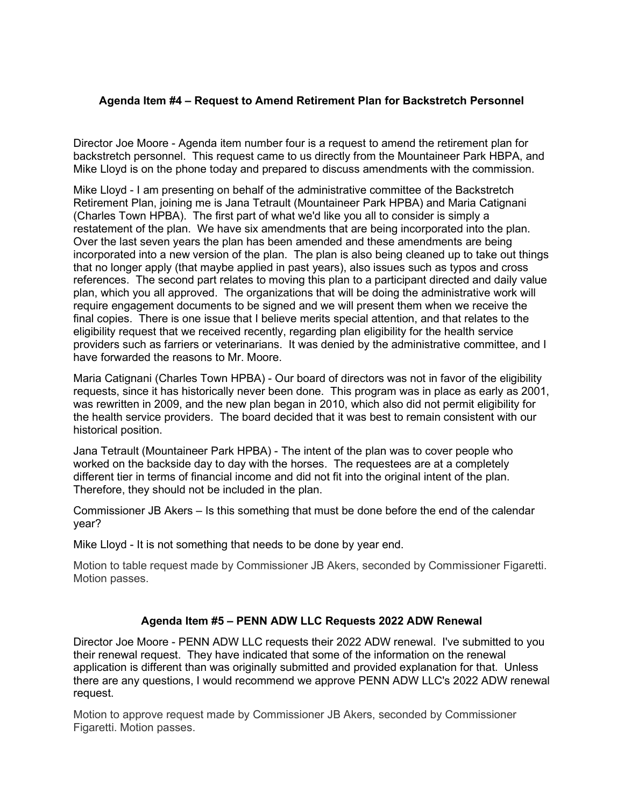## Agenda Item #4 – Request to Amend Retirement Plan for Backstretch Personnel

Director Joe Moore - Agenda item number four is a request to amend the retirement plan for backstretch personnel. This request came to us directly from the Mountaineer Park HBPA, and Mike Lloyd is on the phone today and prepared to discuss amendments with the commission.

Mike Lloyd - I am presenting on behalf of the administrative committee of the Backstretch Retirement Plan, joining me is Jana Tetrault (Mountaineer Park HPBA) and Maria Catignani (Charles Town HPBA). The first part of what we'd like you all to consider is simply a restatement of the plan. We have six amendments that are being incorporated into the plan. Over the last seven years the plan has been amended and these amendments are being incorporated into a new version of the plan. The plan is also being cleaned up to take out things that no longer apply (that maybe applied in past years), also issues such as typos and cross references. The second part relates to moving this plan to a participant directed and daily value plan, which you all approved. The organizations that will be doing the administrative work will require engagement documents to be signed and we will present them when we receive the final copies. There is one issue that I believe merits special attention, and that relates to the eligibility request that we received recently, regarding plan eligibility for the health service providers such as farriers or veterinarians. It was denied by the administrative committee, and I have forwarded the reasons to Mr. Moore.

Maria Catignani (Charles Town HPBA) - Our board of directors was not in favor of the eligibility requests, since it has historically never been done. This program was in place as early as 2001, was rewritten in 2009, and the new plan began in 2010, which also did not permit eligibility for the health service providers. The board decided that it was best to remain consistent with our historical position.

Jana Tetrault (Mountaineer Park HPBA) - The intent of the plan was to cover people who worked on the backside day to day with the horses. The requestees are at a completely different tier in terms of financial income and did not fit into the original intent of the plan. Therefore, they should not be included in the plan.

Commissioner JB Akers – Is this something that must be done before the end of the calendar year?

Mike Lloyd - It is not something that needs to be done by year end.

Motion to table request made by Commissioner JB Akers, seconded by Commissioner Figaretti. Motion passes.

## Agenda Item #5 – PENN ADW LLC Requests 2022 ADW Renewal

Director Joe Moore - PENN ADW LLC requests their 2022 ADW renewal. I've submitted to you their renewal request. They have indicated that some of the information on the renewal application is different than was originally submitted and provided explanation for that. Unless there are any questions, I would recommend we approve PENN ADW LLC's 2022 ADW renewal request.

Motion to approve request made by Commissioner JB Akers, seconded by Commissioner Figaretti. Motion passes.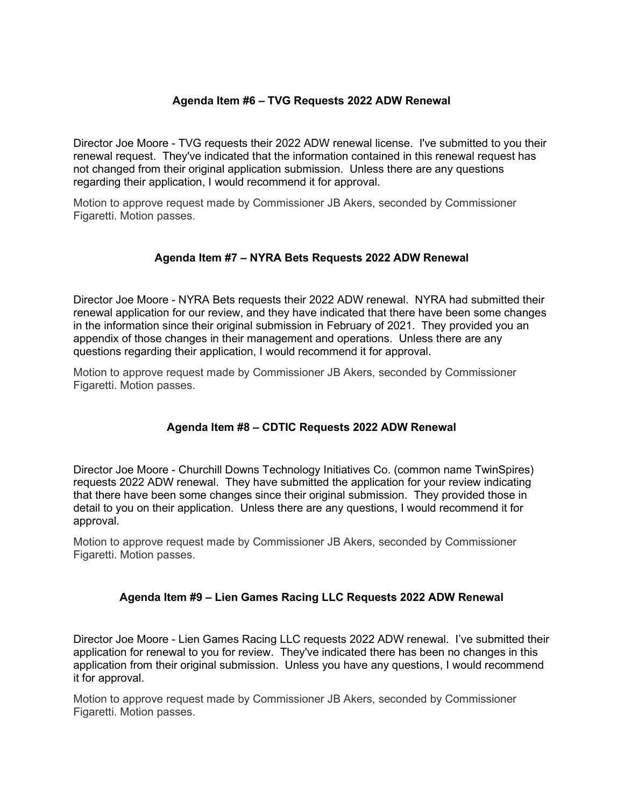# Agenda Item #6 – TVG Requests 2022 ADW Renewal

Director Joe Moore - TVG requests their 2022 ADW renewal license. I've submitted to you their renewal request. They've indicated that the information contained in this renewal request has not changed from their original application submission. Unless there are any questions regarding their application, I would recommend it for approval.

Motion to approve request made by Commissioner JB Akers, seconded by Commissioner Figaretti. Motion passes.

## Agenda Item #7 – NYRA Bets Requests 2022 ADW Renewal

Director Joe Moore - NYRA Bets requests their 2022 ADW renewal. NYRA had submitted their renewal application for our review, and they have indicated that there have been some changes in the information since their original submission in February of 2021. They provided you an appendix of those changes in their management and operations. Unless there are any questions regarding their application, I would recommend it for approval.

Motion to approve request made by Commissioner JB Akers, seconded by Commissioner Figaretti. Motion passes.

## Agenda Item #8 – CDTIC Requests 2022 ADW Renewal

Director Joe Moore - Churchill Downs Technology Initiatives Co. (common name TwinSpires) requests 2022 ADW renewal. They have submitted the application for your review indicating that there have been some changes since their original submission. They provided those in detail to you on their application. Unless there are any questions, I would recommend it for approval.

Motion to approve request made by Commissioner JB Akers, seconded by Commissioner Figaretti. Motion passes.

## Agenda Item #9 – Lien Games Racing LLC Requests 2022 ADW Renewal

Director Joe Moore - Lien Games Racing LLC requests 2022 ADW renewal. I've submitted their application for renewal to you for review. They've indicated there has been no changes in this application from their original submission. Unless you have any questions, I would recommend it for approval.

Motion to approve request made by Commissioner JB Akers, seconded by Commissioner Figaretti. Motion passes.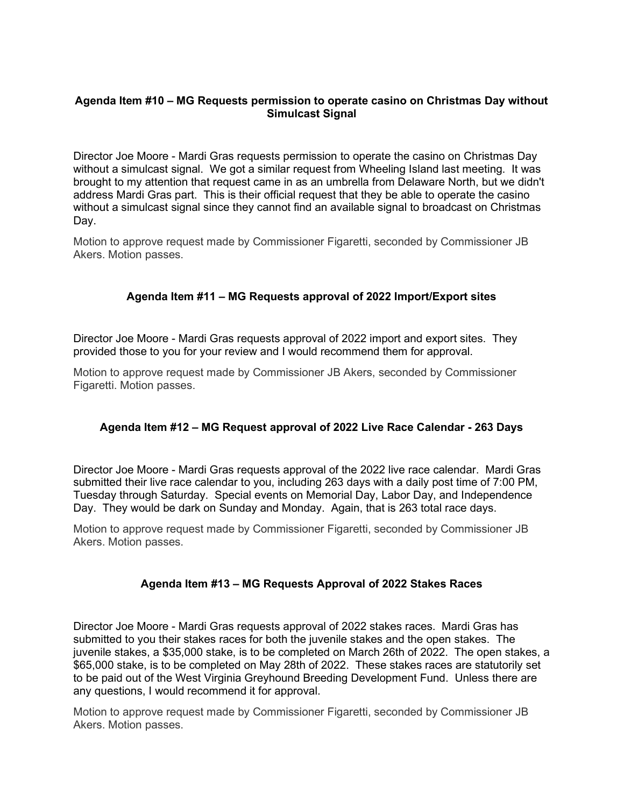#### Agenda Item #10 – MG Requests permission to operate casino on Christmas Day without Simulcast Signal

Director Joe Moore - Mardi Gras requests permission to operate the casino on Christmas Day without a simulcast signal. We got a similar request from Wheeling Island last meeting. It was brought to my attention that request came in as an umbrella from Delaware North, but we didn't address Mardi Gras part. This is their official request that they be able to operate the casino without a simulcast signal since they cannot find an available signal to broadcast on Christmas Day.

Motion to approve request made by Commissioner Figaretti, seconded by Commissioner JB Akers. Motion passes.

# Agenda Item #11 – MG Requests approval of 2022 Import/Export sites

Director Joe Moore - Mardi Gras requests approval of 2022 import and export sites. They provided those to you for your review and I would recommend them for approval.

Motion to approve request made by Commissioner JB Akers, seconded by Commissioner Figaretti. Motion passes.

## Agenda Item #12 – MG Request approval of 2022 Live Race Calendar - 263 Days

Director Joe Moore - Mardi Gras requests approval of the 2022 live race calendar. Mardi Gras submitted their live race calendar to you, including 263 days with a daily post time of 7:00 PM, Tuesday through Saturday. Special events on Memorial Day, Labor Day, and Independence Day. They would be dark on Sunday and Monday. Again, that is 263 total race days.

Motion to approve request made by Commissioner Figaretti, seconded by Commissioner JB Akers. Motion passes.

#### Agenda Item #13 – MG Requests Approval of 2022 Stakes Races

Director Joe Moore - Mardi Gras requests approval of 2022 stakes races. Mardi Gras has submitted to you their stakes races for both the juvenile stakes and the open stakes. The juvenile stakes, a \$35,000 stake, is to be completed on March 26th of 2022. The open stakes, a \$65,000 stake, is to be completed on May 28th of 2022. These stakes races are statutorily set to be paid out of the West Virginia Greyhound Breeding Development Fund. Unless there are any questions, I would recommend it for approval.

Motion to approve request made by Commissioner Figaretti, seconded by Commissioner JB Akers. Motion passes.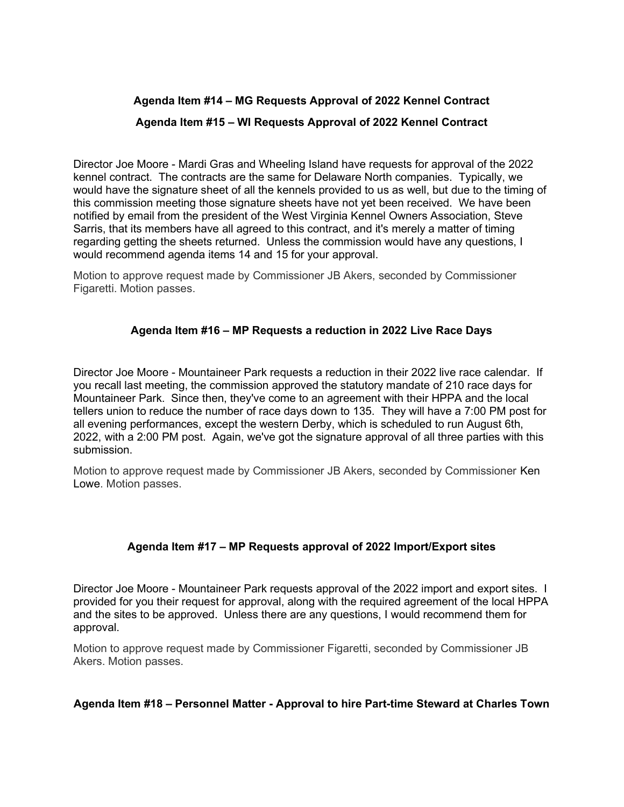# Agenda Item #14 – MG Requests Approval of 2022 Kennel Contract Agenda Item #15 – WI Requests Approval of 2022 Kennel Contract

Director Joe Moore - Mardi Gras and Wheeling Island have requests for approval of the 2022 kennel contract. The contracts are the same for Delaware North companies. Typically, we would have the signature sheet of all the kennels provided to us as well, but due to the timing of this commission meeting those signature sheets have not yet been received. We have been notified by email from the president of the West Virginia Kennel Owners Association, Steve Sarris, that its members have all agreed to this contract, and it's merely a matter of timing regarding getting the sheets returned. Unless the commission would have any questions, I would recommend agenda items 14 and 15 for your approval.

Motion to approve request made by Commissioner JB Akers, seconded by Commissioner Figaretti. Motion passes.

## Agenda Item #16 – MP Requests a reduction in 2022 Live Race Days

Director Joe Moore - Mountaineer Park requests a reduction in their 2022 live race calendar. If you recall last meeting, the commission approved the statutory mandate of 210 race days for Mountaineer Park. Since then, they've come to an agreement with their HPPA and the local tellers union to reduce the number of race days down to 135. They will have a 7:00 PM post for all evening performances, except the western Derby, which is scheduled to run August 6th, 2022, with a 2:00 PM post. Again, we've got the signature approval of all three parties with this submission.

Motion to approve request made by Commissioner JB Akers, seconded by Commissioner Ken Lowe. Motion passes.

## Agenda Item #17 – MP Requests approval of 2022 Import/Export sites

Director Joe Moore - Mountaineer Park requests approval of the 2022 import and export sites. I provided for you their request for approval, along with the required agreement of the local HPPA and the sites to be approved. Unless there are any questions, I would recommend them for approval.

Motion to approve request made by Commissioner Figaretti, seconded by Commissioner JB Akers. Motion passes.

#### Agenda Item #18 – Personnel Matter - Approval to hire Part-time Steward at Charles Town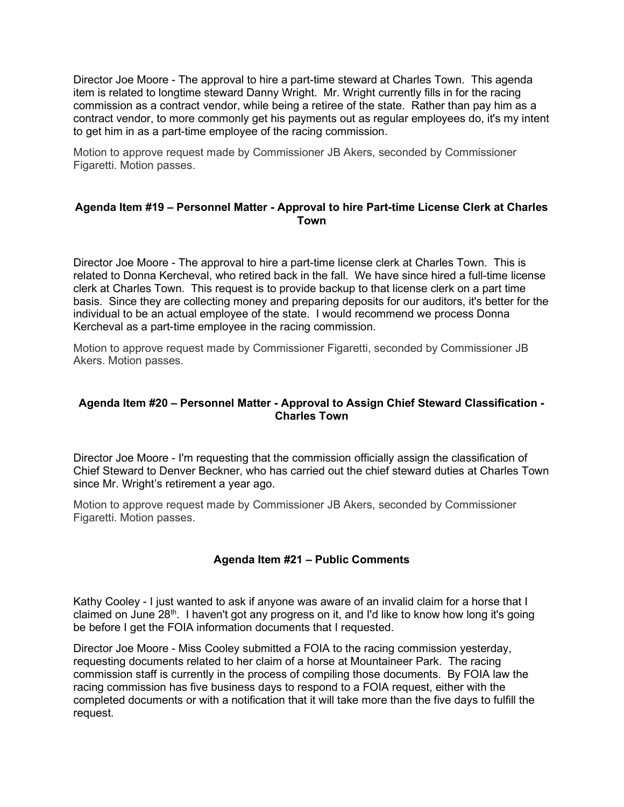Director Joe Moore - The approval to hire a part-time steward at Charles Town. This agenda item is related to longtime steward Danny Wright. Mr. Wright currently fills in for the racing commission as a contract vendor, while being a retiree of the state. Rather than pay him as a contract vendor, to more commonly get his payments out as regular employees do, it's my intent to get him in as a part-time employee of the racing commission.

Motion to approve request made by Commissioner JB Akers, seconded by Commissioner Figaretti. Motion passes.

## Agenda Item #19 – Personnel Matter - Approval to hire Part-time License Clerk at Charles Town

Director Joe Moore - The approval to hire a part-time license clerk at Charles Town. This is related to Donna Kercheval, who retired back in the fall. We have since hired a full-time license clerk at Charles Town. This request is to provide backup to that license clerk on a part time basis. Since they are collecting money and preparing deposits for our auditors, it's better for the individual to be an actual employee of the state. I would recommend we process Donna Kercheval as a part-time employee in the racing commission.

Motion to approve request made by Commissioner Figaretti, seconded by Commissioner JB Akers. Motion passes.

## Agenda Item #20 – Personnel Matter - Approval to Assign Chief Steward Classification - Charles Town

Director Joe Moore - I'm requesting that the commission officially assign the classification of Chief Steward to Denver Beckner, who has carried out the chief steward duties at Charles Town since Mr. Wright's retirement a year ago.

Motion to approve request made by Commissioner JB Akers, seconded by Commissioner Figaretti. Motion passes.

## Agenda Item #21 – Public Comments

Kathy Cooley - I just wanted to ask if anyone was aware of an invalid claim for a horse that I claimed on June  $28<sup>th</sup>$ . I haven't got any progress on it, and I'd like to know how long it's going be before I get the FOIA information documents that I requested.

Director Joe Moore - Miss Cooley submitted a FOIA to the racing commission yesterday, requesting documents related to her claim of a horse at Mountaineer Park. The racing commission staff is currently in the process of compiling those documents. By FOIA law the racing commission has five business days to respond to a FOIA request, either with the completed documents or with a notification that it will take more than the five days to fulfill the request.